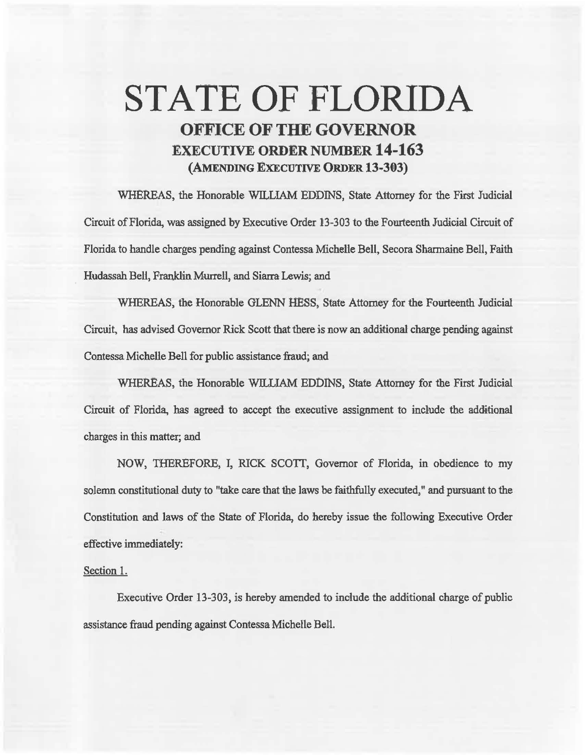## STATE OF FLORIDA OFFICE OF THE GOVERNOR EXECUTIVE ORDER NUMBER 14-163 (AMENDING EXECUTIVE ORDER 13-303)

WHEREAS, the Honorable WILLIAM EDDINS, State Attorney for the First Judicial Circuit of Florida, was assigned by Executive Order 13-303 to the Fourteenth Judicial Circuit of Florida to handle charges pending against Contessa Michelle Bell, Secora Sharmaine Bell, Faith Hudassah Bell, Franklin Mwrell, and Siarra Lewis; and

WHEREAS, the Honorable GLENN HESS, State Attorney for the Fourteenth Judicial Circuit, has advised Governor Rick Scott that there is now an additional charge pending against Contessa Michelle Bell for public assistance fraud; and

WHEREAS, the Honorable WILLIAM EDDINS, State Attorney for the First Judicial Circuit of Florida, has agreed to accept the executive assignment to include the additional charges in this matter; and

NOW, THEREFORE, I, RICK SCOTT, Governor of Florida, in obedience to my solemn constitutional duty to "take care that the laws be faithfully executed," and pursuant to the Constimtion and laws of the State of Florida, do hereby issue the following Executive Order effective immediately:

## Section 1.

Executive Order 13-303, is hereby amended to include the additional charge of public assistance fraud pending against Contessa Michelle Bell.